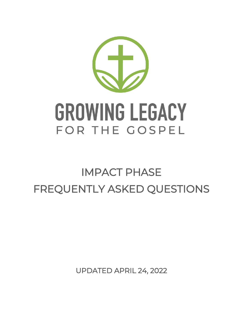

# **GROWING LEGACY** FOR THE GOSPEL

# IMPACT PHASE FREQUENTLY ASKED QUESTIONS

UPDATED APRIL 24, 2022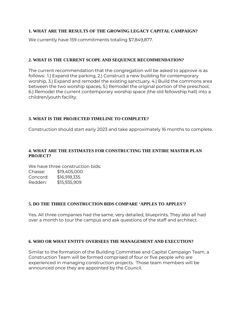## **1. WHAT ARE THE RESULTS OF THE GROWING LEGACY CAPITAL CAMPAIGN?**

We currently have 159 commitments totaling \$7,849,877.

# **2. WHAT IS THE CURRENT SCOPE AND SEQUENCE RECOMMENDATION?**

The current recommendation that the congregation will be asked to approve is as follows: 1.) Expand the parking, 2.) Construct a new building for contemporary worship, 3.) Expand and remodel the existing sanctuary, 4.) Build the commons area between the two worship spaces, 5.) Remodel the original portion of the preschool, 6.) Remodel the current contemporary worship space (the old fellowship hall) into a children/youth facility.

# **3. WHAT IS THE PROJECTED TIMELINE TO COMPLETE?**

Construction should start early 2023 and take approximately 16 months to complete.

# **4. WHAT ARE THE ESTIMATES FOR CONSTRUCTING THE ENTIRE MASTER PLAN PROJECT?**

We have three construction bids: Chasse: \$19,405,000 Concord: \$16,918,335 Redden: \$15,935,909

# **5. DO THE THREE CONSTRUCTION BIDS COMPARE 'APPLES TO APPLES'?**

Yes. All three companies had the same, very detailed, blueprints. They also all had over a month to tour the campus and ask questions of the staff and architect.

# **6. WHO OR WHAT ENTITY OVERSEES THE MANAGEMENT AND EXECUTION?**

Similar to the formation of the Building Committee and Capital Campaign Team, a Construction Team will be formed comprised of four or five people who are experienced in managing construction projects. Those team members will be announced once they are appointed by the Council.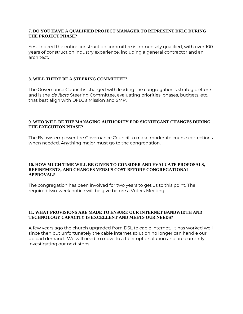#### **7. DO YOU HAVE A QUALIFIED PROJECT MANAGER TO REPRESENT DFLC DURING THE PROJECT PHASE?**

Yes. Indeed the entire construction committee is immensely qualified, with over 100 years of construction industry experience, including a general contractor and an architect.

#### **8. WILL THERE BE A STEERING COMMITTEE?**

The Governance Council is charged with leading the congregation's strategic efforts and is the *de facto* Steering Committee, evaluating priorities, phases, budgets, etc. that best align with DFLC's Mission and SMP.

#### **9. WHO WILL BE THE MANAGING AUTHORITY FOR SIGNIFICANT CHANGES DURING THE EXECUTION PHASE?**

The Bylaws empower the Governance Council to make moderate course corrections when needed. Anything major must go to the congregation.

#### **10. HOW MUCH TIME WILL BE GIVEN TO CONSIDER AND EVALUATE PROPOSALS, REFINEMENTS, AND CHANGES VERSUS COST BEFORE CONGREGATIONAL APPROVAL?**

The congregation has been involved for two years to get us to this point. The required two-week notice will be give before a Voters Meeting.

#### **11. WHAT PROVISIONS ARE MADE TO ENSURE OUR INTERNET BANDWIDTH AND TECHNOLOGY CAPACITY IS EXCELLENT AND MEETS OUR NEEDS?**

A few years ago the church upgraded from DSL to cable internet. It has worked well since then but unfortunately the cable internet solution no longer can handle our upload demand. We will need to move to a fiber optic solution and are currently investigating our next steps.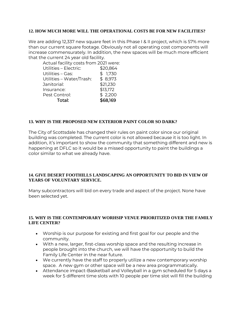#### **12. HOW MUCH MORE WILL THE OPERATIONAL COSTS BE FOR NEW FACILITIES?**

We are adding 12,337 new square feet in this Phase I & II project, which is 57% more than our current square footage. Obviously not all operating cost components will increase commensurately. In addition, the new spaces will be much more efficient that the current 24 year old facility.

| Actual facility costs from 2021 were: |
|---------------------------------------|
| \$20,864                              |
| \$1,730                               |
| \$8,973                               |
| \$21,230                              |
| \$13,172                              |
| \$2,200                               |
| \$68,169                              |
|                                       |

#### **13. WHY IS THE PROPOSED NEW EXTERIOR PAINT COLOR SO DARK?**

The City of Scottsdale has changed their rules on paint color since our original building was completed. The current color is not allowed because it is too light. In addition, it's important to show the community that something different and new is happening at DFLC so it would be a missed opportunity to paint the buildings a color similar to what we already have.

#### **14. GIVE DESERT FOOTHILLS LANDSCAPING AN OPPORTUNITY TO BID IN VIEW OF YEARS OF VOLUNTARY SERVICE.**

Many subcontractors will bid on every trade and aspect of the project. None have been selected yet.

#### **15. WHY IS THE CONTEMPORARY WORHSIP VENUE PRIORITIZED OVER THE FAMILY LIFE CENTER?**

- Worship is our purpose for existing and first goal for our people and the community.
- With a new, larger, first-class worship space and the resulting increase in people brought into the church, we will have the opportunity to build the Family Life Center in the near future.
- We currently have the staff to properly utilize a new contemporary worship space. A new gym or other space will be a new area programmatically.
- Attendance impact-Basketball and Volleyball in a gym scheduled for 5 days a week for 5 different time slots with 10 people per time slot will fill the building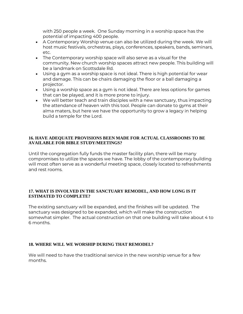with 250 people a week. One Sunday morning in a worship space has the potential of impacting 400 people.

- A Contemporary Worship venue can also be utilized during the week. We will host music festivals, orchestras, plays, conferences, speakers, bands, seminars, etc.
- The Contemporary worship space will also serve as a visual for the community. New church worship spaces attract new people. This building will be a landmark on Scottsdale Rd.
- Using a gym as a worship space is not ideal. There is high potential for wear and damage. This can be chairs damaging the floor or a ball damaging a projector.
- Using a worship space as a gym is not ideal. There are less options for games that can be played, and it is more prone to injury.
- We will better teach and train disciples with a new sanctuary, thus impacting the attendance of heaven with this tool. People can donate to gyms at their alma maters, but here we have the opportunity to grow a legacy in helping build a temple for the Lord.

#### **16. HAVE ADEQUATE PROVISIONS BEEN MADE FOR ACTUAL CLASSROOMS TO BE AVAILABLE FOR BIBLE STUDY/MEETINGS?**

Until the congregation fully funds the master facility plan, there will be many compromises to utilize the spaces we have. The lobby of the contemporary building will most often serve as a wonderful meeting space, closely located to refreshments and rest rooms.

#### **17. WHAT IS INVOLVED IN THE SANCTUARY REMODEL, AND HOW LONG IS IT ESTIMATED TO COMPLETE?**

The existing sanctuary will be expanded, and the finishes will be updated. The sanctuary was designed to be expanded, which will make the construction somewhat simpler. The actual construction on that one building will take about 4 to 6 months.

# **18. WHERE WILL WE WORSHIP DURING THAT REMODEL?**

We will need to have the traditional service in the new worship venue for a few months.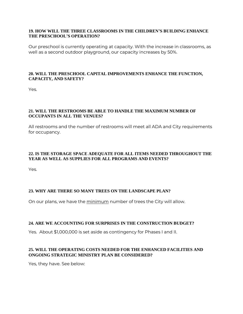#### **19. HOW WILL THE THREE CLASSROOMS IN THE CHILDREN'S BUILDING ENHANCE THE PRESCHOOL'S OPERATION?**

Our preschool is currently operating at capacity. With the increase in classrooms, as well as a second outdoor playground, our capacity increases by 50%.

#### **20. WILL THE PRESCHOOL CAPITAL IMPROVEMENTS ENHANCE THE FUNCTION, CAPACITY, AND SAFETY?**

Yes.

#### **21. WILL THE RESTROOMS BE ABLE TO HANDLE THE MAXIMUM NUMBER OF OCCUPANTS IN ALL THE VENUES?**

All restrooms and the number of restrooms will meet all ADA and City requirements for occupancy.

# **22. IS THE STORAGE SPACE ADEQUATE FOR ALL ITEMS NEEDED THROUGHOUT THE YEAR AS WELL AS SUPPLIES FOR ALL PROGRAMS AND EVENTS?**

Yes.

# **23. WHY ARE THERE SO MANY TREES ON THE LANDSCAPE PLAN?**

On our plans, we have the minimum number of trees the City will allow.

# **24. ARE WE ACCOUNTING FOR SURPRISES IN THE CONSTRUCTION BUDGET?**

Yes. About \$1,000,000 is set aside as contingency for Phases I and II.

# **25. WILL THE OPERATING COSTS NEEDED FOR THE ENHANCED FACILITIES AND ONGOING STRATEGIC MINISTRY PLAN BE CONSIDERED?**

Yes, they have. See below: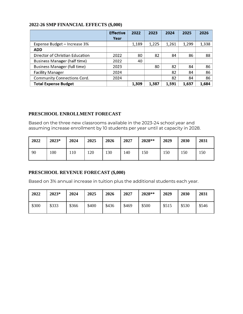# **2022-26 SMP FINANCIAL EFFECTS (\$,000)**

|                                     | <b>Effective</b> | 2022  | 2023  | 2024  | 2025  | 2026  |
|-------------------------------------|------------------|-------|-------|-------|-------|-------|
|                                     | Year             |       |       |       |       |       |
| Expense Budget - Increase 3%        |                  | 1,189 | 1,225 | 1,261 | 1,299 | 1,338 |
| <b>ADD</b>                          |                  |       |       |       |       |       |
| Director of Christian Education     | 2022             | 80    | 82    | 84    | 86    | 88    |
| Business Manager (half time)        | 2022             | 40    |       |       |       |       |
| <b>Business Manager (full time)</b> | 2023             |       | 80    | 82    | 84    | 86    |
| <b>Facility Manager</b>             | 2024             |       |       | 82    | 84    | 86    |
| <b>Community Connections Cord.</b>  | 2024             |       |       | 82    | 84    | 86    |
| <b>Total Expense Budget</b>         |                  | 1.309 | 1,387 | 1,591 | 1.637 | 1,684 |

# **PRESCHOOL ENROLLMENT FORECAST**

Based on the three new classrooms available in the 2023-24 school year and assuming increase enrollment by 10 students per year until at capacity in 2028.

| 2022 | 2023* | 2024 | 2025 | 2026 | 2027 | 2028** | 2029 | 2030 | 2031 |
|------|-------|------|------|------|------|--------|------|------|------|
| 90   | 00    | 10   | 120  | 130  | 140  | 150    | 150  | 150  | 150  |

# **PRESCHOOL REVENUE FORECAST (\$,000)**

Based on 3% annual increase in tuition plus the additional students each year.

| 2022  | 2023* | 2024  | 2025  | 2026  | 2027  | 2028** | 2029  | 2030  | 2031  |
|-------|-------|-------|-------|-------|-------|--------|-------|-------|-------|
| \$300 | \$333 | \$366 | \$400 | \$436 | \$469 | \$500  | \$515 | \$530 | \$546 |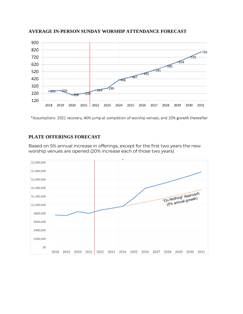

**AVERAGE IN-PERSON SUNDAY WORSHIP ATTENDANCE FORECAST**

\*Assumptions: 2022 recovery, 40% jump at completion of worship venues, and 10% growth thereafter

# **PLATE OFFERINGS FORECAST**

Based on 5% annual increase in offerings, except for the first two years the new worship venues are opened (20% increase each of those two years)

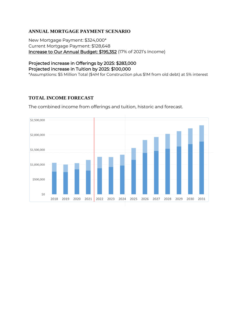# **ANNUAL MORTGAGE PAYMENT SCENARIO**

New Mortgage Payment: \$324,000\* Current Mortgage Payment: \$128,648 Increase to Our Annual Budget: \$195,352 (17% of 2021's Income)

# Projected increase in Offerings by 2025: \$283,000 Projected increase in Tuition by 2025: \$100,000

\*Assumptions: \$5 Million Total (\$4M for Construction plus \$1M from old debt) at 5% interest

# **TOTAL INCOME FORECAST**

The combined income from offerings and tuition, historic and forecast.

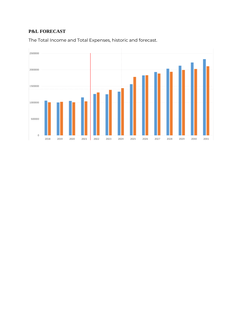# **P&L FORECAST**

The Total Income and Total Expenses, historic and forecast.